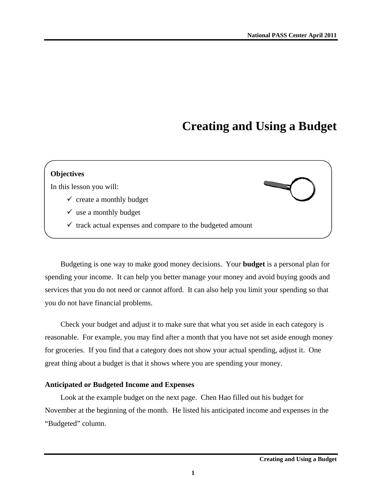# **Creating and Using a Budget**

# **Objectives**  In this lesson you will:  $\checkmark$  create a monthly budget  $\checkmark$  use a monthly budget  $\checkmark$  track actual expenses and compare to the budgeted amount

Budgeting is one way to make good money decisions. Your **budget** is a personal plan for spending your income. It can help you better manage your money and avoid buying goods and services that you do not need or cannot afford. It can also help you limit your spending so that you do not have financial problems.

Check your budget and adjust it to make sure that what you set aside in each category is reasonable. For example, you may find after a month that you have not set aside enough money for groceries. If you find that a category does not show your actual spending, adjust it. One great thing about a budget is that it shows where you are spending your money.

#### **Anticipated or Budgeted Income and Expenses**

Look at the example budget on the next page. Chen Hao filled out his budget for November at the beginning of the month. He listed his anticipated income and expenses in the "Budgeted" column.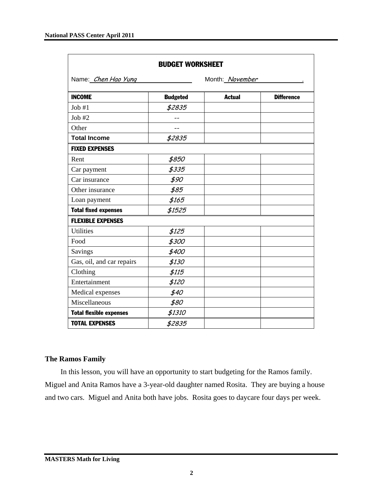|                                        | <b>BUDGET WORKSHEET</b> |               |                   |  |
|----------------------------------------|-------------------------|---------------|-------------------|--|
| Name: Chen Hao Yung<br>Month: November |                         |               |                   |  |
| <b>INCOME</b>                          | <b>Budgeted</b>         | <b>Actual</b> | <b>Difference</b> |  |
| Job #1                                 | \$2835                  |               |                   |  |
| Job #2                                 |                         |               |                   |  |
| Other                                  |                         |               |                   |  |
| <b>Total Income</b>                    | \$2835                  |               |                   |  |
| <b>FIXED EXPENSES</b>                  |                         |               |                   |  |
| Rent                                   | \$850                   |               |                   |  |
| Car payment                            | \$335                   |               |                   |  |
| Car insurance                          | \$90                    |               |                   |  |
| Other insurance                        | \$85                    |               |                   |  |
| Loan payment                           | \$165                   |               |                   |  |
| <b>Total fixed expenses</b>            | \$1525                  |               |                   |  |
| <b>FLEXIBLE EXPENSES</b>               |                         |               |                   |  |
| <b>Utilities</b>                       | \$125                   |               |                   |  |
| Food                                   | \$300                   |               |                   |  |
| Savings                                | \$400                   |               |                   |  |
| Gas, oil, and car repairs              | \$130                   |               |                   |  |
| Clothing                               | \$115                   |               |                   |  |
| Entertainment                          | \$120                   |               |                   |  |
| Medical expenses                       | \$40                    |               |                   |  |
| Miscellaneous                          | \$80                    |               |                   |  |
| <b>Total flexible expenses</b>         | \$1310                  |               |                   |  |
| <b>TOTAL EXPENSES</b>                  | \$2835                  |               |                   |  |

#### **The Ramos Family**

In this lesson, you will have an opportunity to start budgeting for the Ramos family. Miguel and Anita Ramos have a 3-year-old daughter named Rosita. They are buying a house and two cars. Miguel and Anita both have jobs. Rosita goes to daycare four days per week.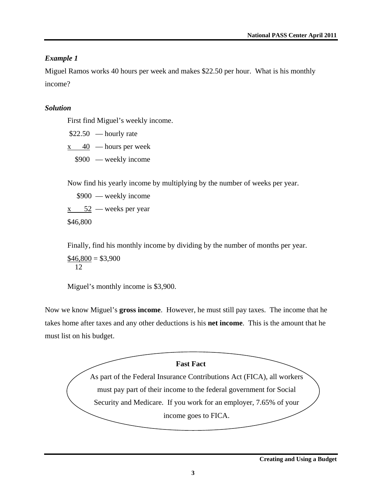## *Example 1*

Miguel Ramos works 40 hours per week and makes \$22.50 per hour. What is his monthly income?

## *Solution*

First find Miguel's weekly income.

 $$22.50$  — hourly rate

 $x \times 40$  — hours per week

\$900 — weekly income

Now find his yearly income by multiplying by the number of weeks per year.

 \$900 — weekly income  $x = 52$  — weeks per year \$46,800

Finally, find his monthly income by dividing by the number of months per year.  $$46,800 = $3,900$ 12

Miguel's monthly income is \$3,900.

Now we know Miguel's **gross income**. However, he must still pay taxes. The income that he takes home after taxes and any other deductions is his **net income**. This is the amount that he must list on his budget.

> **Fast Fact**  As part of the Federal Insurance Contributions Act (FICA), all workers must pay part of their income to the federal government for Social Security and Medicare. If you work for an employer, 7.65% of your income goes to FICA.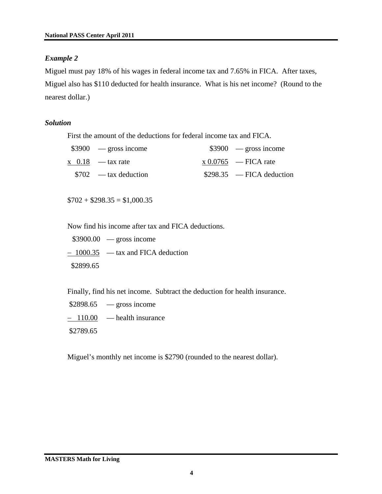#### *Example 2*

Miguel must pay 18% of his wages in federal income tax and 7.65% in FICA. After taxes, Miguel also has \$110 deducted for health insurance. What is his net income? (Round to the nearest dollar.)

#### *Solution*

First the amount of the deductions for federal income tax and FICA.

| $$3900$ — gross income            | $$3900$ - gross income      |
|-----------------------------------|-----------------------------|
| $x \quad 0.18 \quad -\tan \theta$ | $\rm x\,0.0765$ — FICA rate |
| $$702$ — tax deduction            | $$298.35$ - FICA deduction  |

 $$702 + $298.35 = $1,000.35$ 

Now find his income after tax and FICA deductions.

 $$3900.00$  — gross income

− 1000.35 — tax and FICA deduction \$2899.65

Finally, find his net income. Subtract the deduction for health insurance.

| \$2898.65 | gross income |
|-----------|--------------|
|-----------|--------------|

 $-110.00$  — health insurance

\$2789.65

Miguel's monthly net income is \$2790 (rounded to the nearest dollar).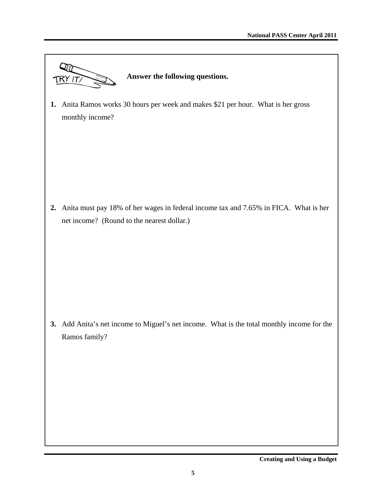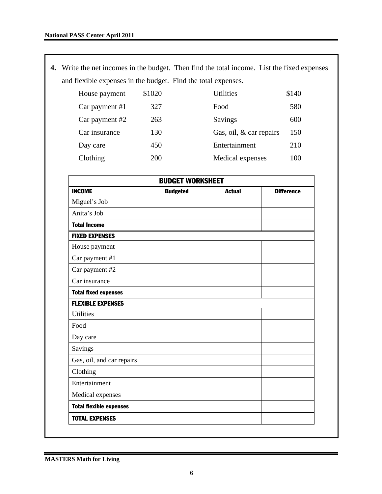**4.** Write the net incomes in the budget. Then find the total income. List the fixed expenses and flexible expenses in the budget. Find the total expenses.

| House payment  | \$1020 | <b>Utilities</b>        | \$140 |
|----------------|--------|-------------------------|-------|
| Car payment #1 | 327    | Food                    | 580   |
| Car payment #2 | 263    | Savings                 | 600   |
| Car insurance  | 130    | Gas, oil, & car repairs | 150   |
| Day care       | 450    | Entertainment           | 210   |
| Clothing       | 200    | Medical expenses        | 100   |

| <b>BUDGET WORKSHEET</b>                                                |  |  |  |  |  |
|------------------------------------------------------------------------|--|--|--|--|--|
| <b>INCOME</b><br><b>Difference</b><br><b>Budgeted</b><br><b>Actual</b> |  |  |  |  |  |
| Miguel's Job                                                           |  |  |  |  |  |
| Anita's Job                                                            |  |  |  |  |  |
| <b>Total Income</b>                                                    |  |  |  |  |  |
| <b>FIXED EXPENSES</b>                                                  |  |  |  |  |  |
| House payment                                                          |  |  |  |  |  |
| Car payment #1                                                         |  |  |  |  |  |
| Car payment #2                                                         |  |  |  |  |  |
| Car insurance                                                          |  |  |  |  |  |
| <b>Total fixed expenses</b>                                            |  |  |  |  |  |
| <b>FLEXIBLE EXPENSES</b>                                               |  |  |  |  |  |
| <b>Utilities</b>                                                       |  |  |  |  |  |
| Food                                                                   |  |  |  |  |  |
| Day care                                                               |  |  |  |  |  |
| Savings                                                                |  |  |  |  |  |
| Gas, oil, and car repairs                                              |  |  |  |  |  |
| Clothing                                                               |  |  |  |  |  |
| Entertainment                                                          |  |  |  |  |  |
| Medical expenses                                                       |  |  |  |  |  |
| <b>Total flexible expenses</b>                                         |  |  |  |  |  |
| <b>TOTAL EXPENSES</b>                                                  |  |  |  |  |  |

**MASTERS Math for Living**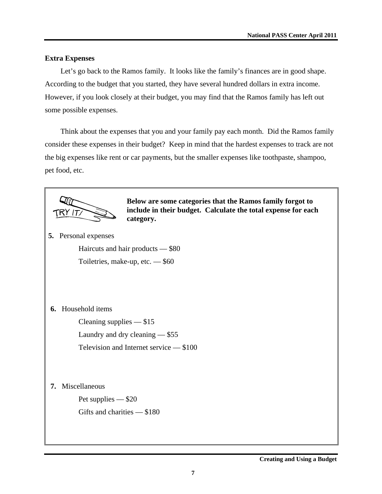#### **Extra Expenses**

Let's go back to the Ramos family. It looks like the family's finances are in good shape. According to the budget that you started, they have several hundred dollars in extra income. However, if you look closely at their budget, you may find that the Ramos family has left out some possible expenses.

Think about the expenses that you and your family pay each month. Did the Ramos family consider these expenses in their budget? Keep in mind that the hardest expenses to track are not the big expenses like rent or car payments, but the smaller expenses like toothpaste, shampoo, pet food, etc.



**Below are some categories that the Ramos family forgot to include in their budget. Calculate the total expense for each category.**

**5.** Personal expenses

 Haircuts and hair products — \$80 Toiletries, make-up, etc. — \$60

**6.** Household items

Cleaning supplies — \$15

Laundry and dry cleaning — \$55

Television and Internet service — \$100

**7.** Miscellaneous

Pet supplies — \$20

Gifts and charities — \$180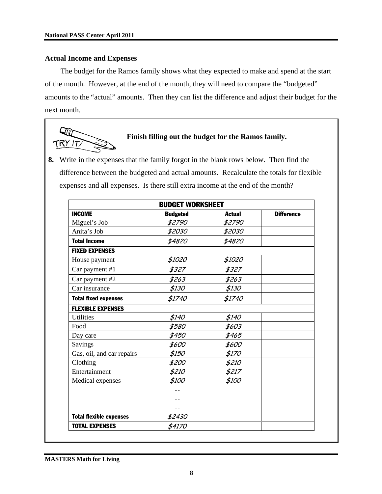#### **Actual Income and Expenses**

The budget for the Ramos family shows what they expected to make and spend at the start of the month. However, at the end of the month, they will need to compare the "budgeted" amounts to the "actual" amounts. Then they can list the difference and adjust their budget for the next month.



#### **Finish filling out the budget for the Ramos family.**

**8.** Write in the expenses that the family forgot in the blank rows below. Then find the difference between the budgeted and actual amounts. Recalculate the totals for flexible expenses and all expenses. Is there still extra income at the end of the month?

| <b>BUDGET WORKSHEET</b>        |                 |               |                   |
|--------------------------------|-----------------|---------------|-------------------|
| <b>INCOME</b>                  | <b>Budgeted</b> | <b>Actual</b> | <b>Difference</b> |
| Miguel's Job                   | \$2790          | \$2790        |                   |
| Anita's Job                    | \$2030          | \$2030        |                   |
| <b>Total Income</b>            | \$4820          | \$4820        |                   |
| <b>FIXED EXPENSES</b>          |                 |               |                   |
| House payment                  | \$1020          | \$1020        |                   |
| Car payment #1                 | \$327           | \$327         |                   |
| Car payment #2                 | \$263           | \$263         |                   |
| Car insurance                  | \$130           | \$130         |                   |
| <b>Total fixed expenses</b>    | \$1740          | \$1740        |                   |
| <b>FLEXIBLE EXPENSES</b>       |                 |               |                   |
| <b>Utilities</b>               | \$140           | \$140         |                   |
| Food                           | \$580           | \$603         |                   |
| Day care                       | \$450           | \$465         |                   |
| Savings                        | \$600           | \$600         |                   |
| Gas, oil, and car repairs      | \$150           | \$170         |                   |
| Clothing                       | \$200           | \$210         |                   |
| Entertainment                  | \$210           | \$217         |                   |
| Medical expenses               | \$100           | \$100         |                   |
|                                |                 |               |                   |
|                                |                 |               |                   |
|                                | $-$             |               |                   |
| <b>Total flexible expenses</b> | \$2430          |               |                   |
| <b>TOTAL EXPENSES</b>          | \$4170          |               |                   |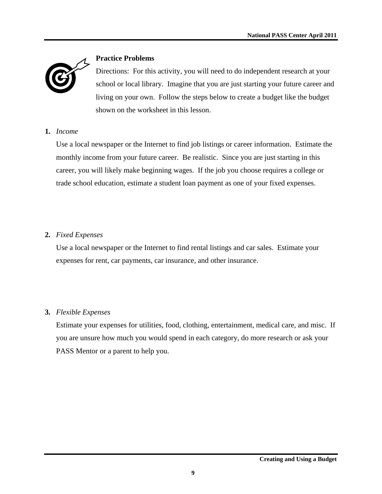

### **Practice Problems**

Directions: For this activity, you will need to do independent research at your school or local library. Imagine that you are just starting your future career and living on your own. Follow the steps below to create a budget like the budget shown on the worksheet in this lesson.

#### **1.** *Income*

Use a local newspaper or the Internet to find job listings or career information. Estimate the monthly income from your future career. Be realistic. Since you are just starting in this career, you will likely make beginning wages. If the job you choose requires a college or trade school education, estimate a student loan payment as one of your fixed expenses.

#### **2.** *Fixed Expenses*

Use a local newspaper or the Internet to find rental listings and car sales. Estimate your expenses for rent, car payments, car insurance, and other insurance.

### **3.** *Flexible Expenses*

Estimate your expenses for utilities, food, clothing, entertainment, medical care, and misc. If you are unsure how much you would spend in each category, do more research or ask your PASS Mentor or a parent to help you.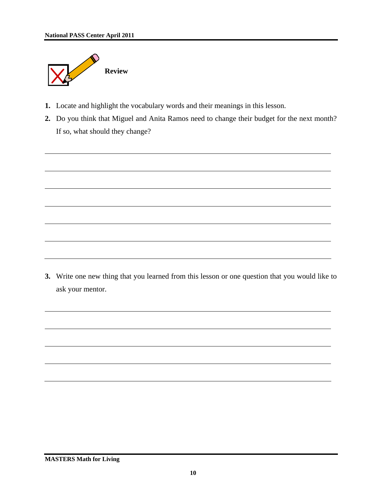

- **1.** Locate and highlight the vocabulary words and their meanings in this lesson.
- **2.** Do you think that Miguel and Anita Ramos need to change their budget for the next month? If so, what should they change?

**3.** Write one new thing that you learned from this lesson or one question that you would like to ask your mentor.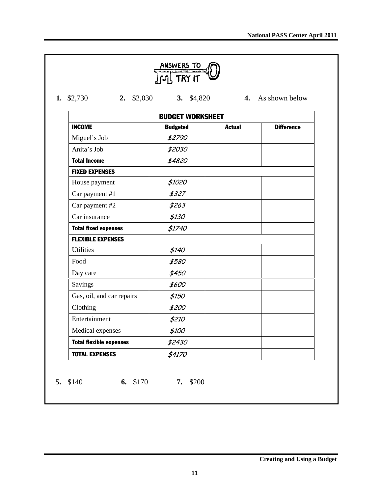| 1. \$2,730<br>2. \$2,030       | 3. \$4,820              |               | 4. As shown below |
|--------------------------------|-------------------------|---------------|-------------------|
|                                | <b>BUDGET WORKSHEET</b> |               |                   |
| <b>INCOME</b>                  | <b>Budgeted</b>         | <b>Actual</b> | <b>Difference</b> |
| Miguel's Job                   | \$2790                  |               |                   |
| Anita's Job                    | \$2030                  |               |                   |
| <b>Total Income</b>            | \$4820                  |               |                   |
| <b>FIXED EXPENSES</b>          |                         |               |                   |
| House payment                  | \$1020                  |               |                   |
| Car payment #1                 | \$327                   |               |                   |
| Car payment #2                 | \$263                   |               |                   |
| Car insurance                  | \$130                   |               |                   |
| <b>Total fixed expenses</b>    | \$1740                  |               |                   |
| <b>FLEXIBLE EXPENSES</b>       |                         |               |                   |
| <b>Utilities</b>               | \$140                   |               |                   |
| Food                           | \$580                   |               |                   |
| Day care                       | \$450                   |               |                   |
| Savings                        | \$600                   |               |                   |
| Gas, oil, and car repairs      | \$150                   |               |                   |
| Clothing                       | \$200                   |               |                   |
| Entertainment                  | \$210                   |               |                   |
| Medical expenses               | \$100                   |               |                   |
| <b>Total flexible expenses</b> | \$2430                  |               |                   |
| <b>TOTAL EXPENSES</b>          | \$4170                  |               |                   |